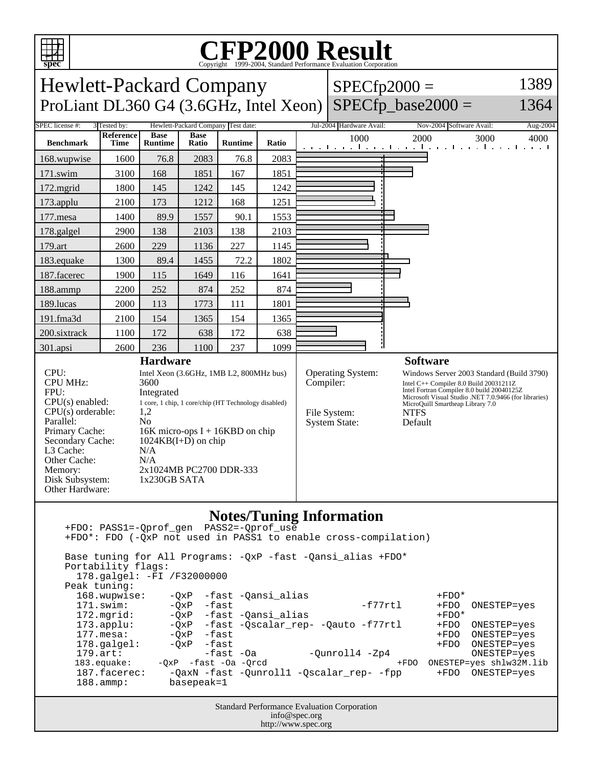

168.wupwise: -QxP -fast -Qansi\_alias +FDO\* +FDO\* +FDO\*<br>171.swim: -OxP -fast -Qansi\_alias -f77rtl +FDO ONESTEP=yes 172.mgrid:  $-QxP$  -fast -Qansi\_alias +FDO\* +FDO\*<br>173.applu: - -OxP -fast -Oscalar rep- -Oauto -f77rtl +FDO 173.applu:  $-QxP$  -fast -Qscalar\_rep- -Qauto -f77rtl +FDO ONESTEP=yes<br>177.mesa: -QxP -fast 177.mesa: -QxP -fast +FDO ONESTEP=yes 178.galgel:  $-QxP$  -fast +FDO ONESTEP=yes<br>179.art: -QxP -fast -Oa - -Ounroll4 -Zp4 +FDO ONESTEP=yes 179.art: -fast -Oa -Qunroll4 -Zp4<br>183.equake: -QxP -fast -Oa -Qrcd +FDO ONESTEP=yes shlw32M.lib 187.facerec: -QaxN -fast -Qunroll1 -Qscalar\_rep- -fpp +FDO ONESTEP=yes<br>188.ammp: basepeak=1 basepeak=1

> Standard Performance Evaluation Corporation info@spec.org http://www.spec.org